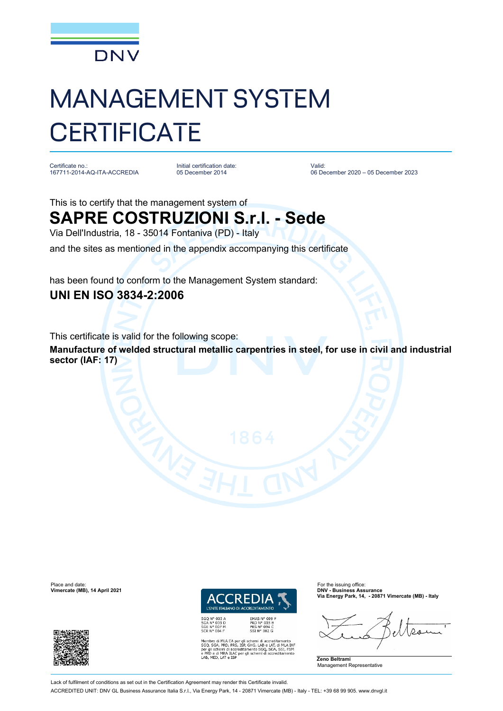

# MANAGEMENT SYSTEM **CERTIFICATE**

Certificate no.: 167711-2014-AQ-ITA-ACCREDIA Initial certification date: 05 December 2014

Valid: 06 December 2020 – 05 December 2023

This is to certify that the management system of

## **SAPRE COSTRUZIONI S.r.l. - Sede**

Via Dell'Industria, 18 - 35014 Fontaniva (PD) - Italy

and the sites as mentioned in the appendix accompanying this certificate

has been found to conform to the Management System standard: **UNI EN ISO 3834-2:2006**

This certificate is valid for the following scope:

**Manufacture of welded structural metallic carpentries in steel, for use in civil and industrial sector (IAF: 17)**

Place and date:<br> **Place and date:** For the issuing office:<br> **Place and date:** For the issuing office:<br> **Place and date:** For the issuing office:





EMAS Nº 009 P<br>PRD Nº 003 B<br>PRS Nº 094 C<br>SSI Nº 002 G

A EA per gli schemi di accreditamento<br>D, PRS, ISP, GHG, LAB e LAT, di MLA IAF<br>di accreditamento SGQ, SGA, SSI, FSM<br>A ILAC per gli schemi di accreditamento<br>e ISP

**Vimercate (MB), 14 April 2021 DNV - Business Assurance Via Energy Park, 14, - 20871 Vimercate (MB) - Italy**

**Zeno Beltrami** Management Representative

Lack of fulfilment of conditions as set out in the Certification Agreement may render this Certificate invalid. ACCREDITED UNIT: DNV GL Business Assurance Italia S.r.l., Via Energy Park, 14 - 20871 Vimercate (MB) - Italy - TEL: +39 68 99 905. www.dnvgl.it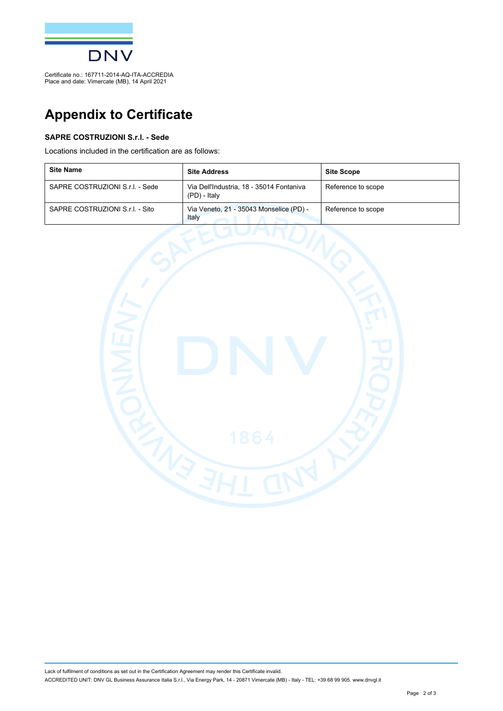

Certificate no.: 167711-2014-AQ-ITA-ACCREDIA Place and date: Vimercate (MB), 14 April 2021

## **Appendix to Certificate**

#### **SAPRE COSTRUZIONI S.r.l. - Sede**

Locations included in the certification are as follows:

| <b>Site Name</b>                | <b>Site Address</b>                                      | <b>Site Scope</b>  |
|---------------------------------|----------------------------------------------------------|--------------------|
| SAPRE COSTRUZIONI S.r.I. - Sede | Via Dell'Industria, 18 - 35014 Fontaniva<br>(PD) - Italy | Reference to scope |
| SAPRE COSTRUZIONI S.r.I. - Sito | Via Veneto, 21 - 35043 Monselice (PD) -<br>Italy         | Reference to scope |